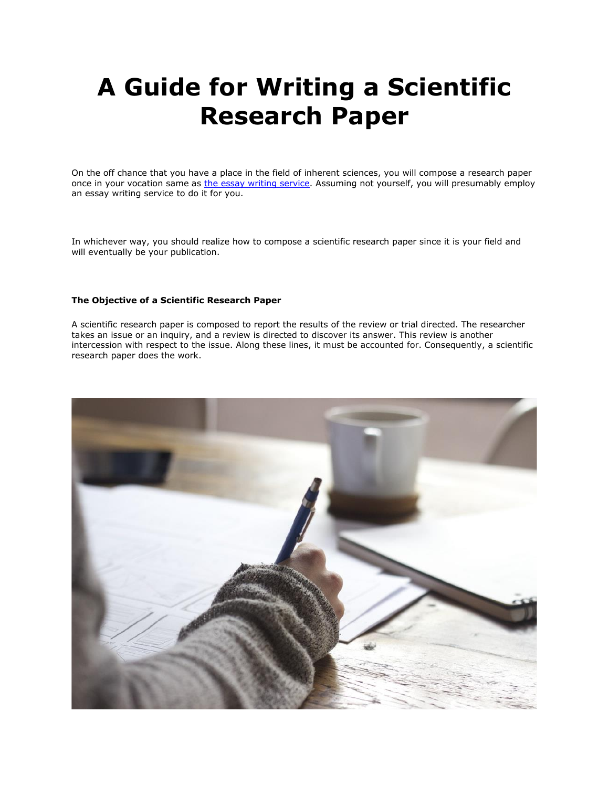# **A Guide for Writing a Scientific Research Paper**

On the off chance that you have a place in the field of inherent sciences, you will compose a research paper once in your vocation same as [the essay writing service.](https://theessaywritingservice.com/) Assuming not yourself, you will presumably employ an essay writing service to do it for you.

In whichever way, you should realize how to compose a scientific research paper since it is your field and will eventually be your publication.

## **The Objective of a Scientific Research Paper**

A scientific research paper is composed to report the results of the review or trial directed. The researcher takes an issue or an inquiry, and a review is directed to discover its answer. This review is another intercession with respect to the issue. Along these lines, it must be accounted for. Consequently, a scientific research paper does the work.

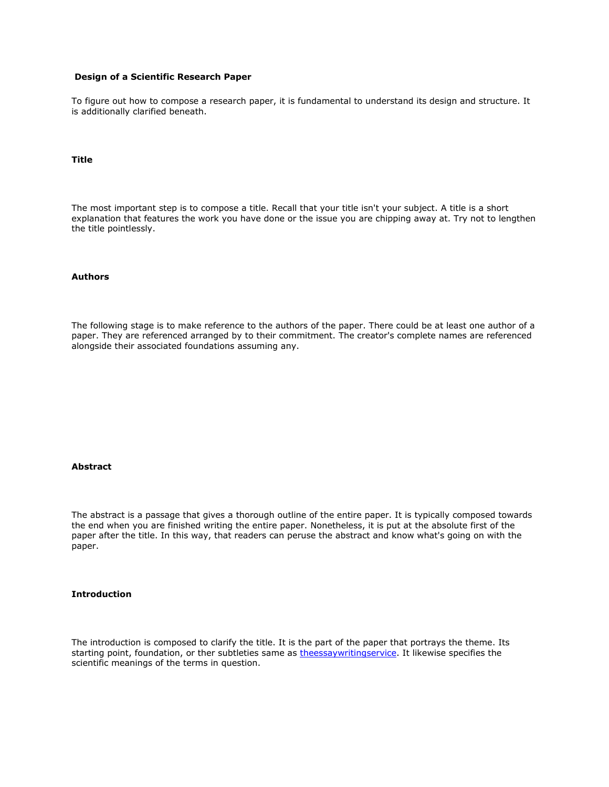# **Design of a Scientific Research Paper**

To figure out how to compose a research paper, it is fundamental to understand its design and structure. It is additionally clarified beneath.

# **Title**

The most important step is to compose a title. Recall that your title isn't your subject. A title is a short explanation that features the work you have done or the issue you are chipping away at. Try not to lengthen the title pointlessly.

#### **Authors**

The following stage is to make reference to the authors of the paper. There could be at least one author of a paper. They are referenced arranged by to their commitment. The creator's complete names are referenced alongside their associated foundations assuming any.

#### **Abstract**

The abstract is a passage that gives a thorough outline of the entire paper. It is typically composed towards the end when you are finished writing the entire paper. Nonetheless, it is put at the absolute first of the paper after the title. In this way, that readers can peruse the abstract and know what's going on with the paper.

#### **Introduction**

The introduction is composed to clarify the title. It is the part of the paper that portrays the theme. Its starting point, foundation, or ther subtleties same as [theessaywritingservice.](https://theessaywritingservice.com/) It likewise specifies the scientific meanings of the terms in question.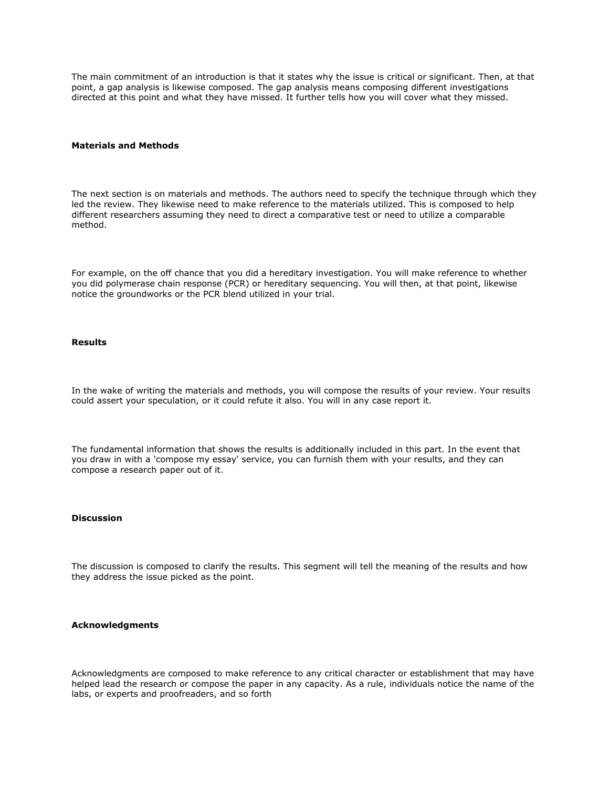The main commitment of an introduction is that it states why the issue is critical or significant. Then, at that point, a gap analysis is likewise composed. The gap analysis means composing different investigations directed at this point and what they have missed. It further tells how you will cover what they missed.

#### **Materials and Methods**

The next section is on materials and methods. The authors need to specify the technique through which they led the review. They likewise need to make reference to the materials utilized. This is composed to help different researchers assuming they need to direct a comparative test or need to utilize a comparable method.

For example, on the off chance that you did a hereditary investigation. You will make reference to whether you did polymerase chain response (PCR) or hereditary sequencing. You will then, at that point, likewise notice the groundworks or the PCR blend utilized in your trial.

## **Results**

In the wake of writing the materials and methods, you will compose the results of your review. Your results could assert your speculation, or it could refute it also. You will in any case report it.

The fundamental information that shows the results is additionally included in this part. In the event that you draw in with a 'compose my essay' service, you can furnish them with your results, and they can compose a research paper out of it.

#### **Discussion**

The discussion is composed to clarify the results. This segment will tell the meaning of the results and how they address the issue picked as the point.

#### **Acknowledgments**

Acknowledgments are composed to make reference to any critical character or establishment that may have helped lead the research or compose the paper in any capacity. As a rule, individuals notice the name of the labs, or experts and proofreaders, and so forth